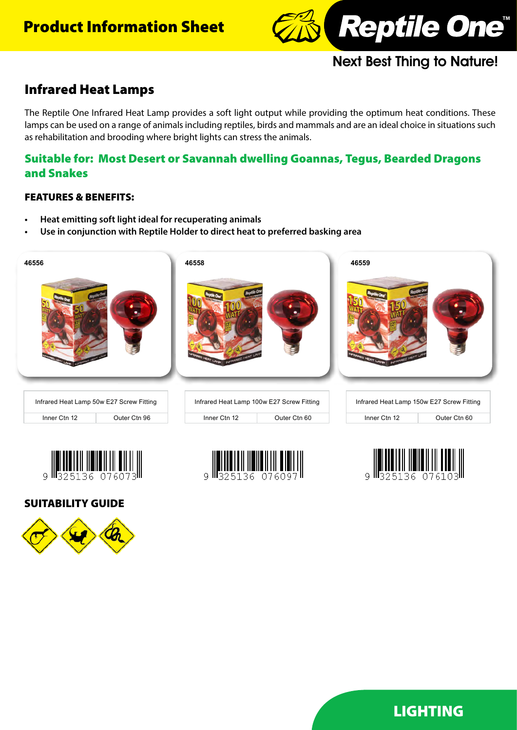# Product Information Sheet



# Next Best Thing to Nature!

# Infrared Heat Lamps

The Reptile One Infrared Heat Lamp provides a soft light output while providing the optimum heat conditions. These lamps can be used on a range of animals including reptiles, birds and mammals and are an ideal choice in situations such as rehabilitation and brooding where bright lights can stress the animals.

## Suitable for: Most Desert or Savannah dwelling Goannas, Tegus, Bearded Dragons and Snakes

### FEATURES & BENEFITS:

- **• Heat emitting soft light ideal for recuperating animals**
- **• Use in conjunction with Reptile Holder to direct heat to preferred basking area**







SUITABILITY GUIDE